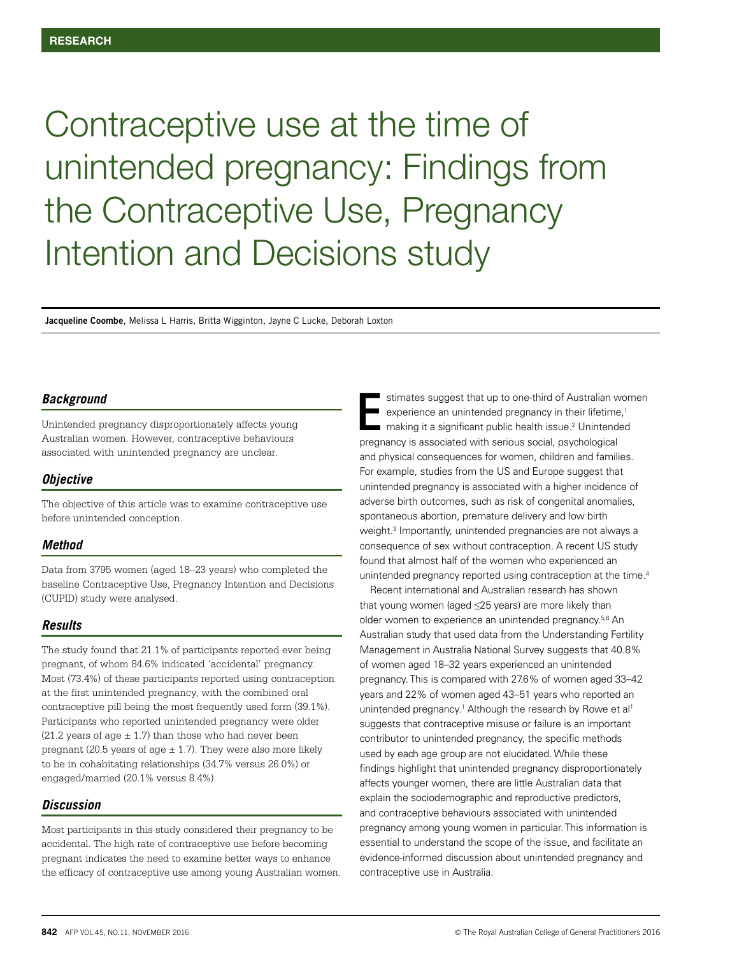# Contraceptive use at the time of unintended pregnancy: Findings from the Contraceptive Use, Pregnancy Intention and Decisions study

**Jacqueline Coombe**, Melissa L Harris, Britta Wigginton, Jayne C Lucke, Deborah Loxton

## *Background*

Unintended pregnancy disproportionately affects young Australian women. However, contraceptive behaviours associated with unintended pregnancy are unclear.

## *Objective*

The objective of this article was to examine contraceptive use before unintended conception.

#### *Method*

Data from 3795 women (aged 18–23 years) who completed the baseline Contraceptive Use, Pregnancy Intention and Decisions (CUPID) study were analysed.

# *Results*

The study found that 21.1% of participants reported ever being pregnant, of whom 84.6% indicated 'accidental' pregnancy. Most (73.4%) of these participants reported using contraception at the first unintended pregnancy, with the combined oral contraceptive pill being the most frequently used form (39.1%). Participants who reported unintended pregnancy were older (21.2 years of age  $\pm$  1.7) than those who had never been pregnant (20.5 years of age  $\pm$  1.7). They were also more likely to be in cohabitating relationships (34.7% versus 26.0%) or engaged/married (20.1% versus 8.4%).

## *Discussion*

Most participants in this study considered their pregnancy to be accidental. The high rate of contraceptive use before becoming pregnant indicates the need to examine better ways to enhance the efficacy of contraceptive use among young Australian women.

stimates suggest that up to one-third of Australian women experience an unintended pregnancy in their lifetime,<sup>1</sup> making it a significant public health issue.<sup>2</sup> Unintended pregnancy is associated with serious social, psychological and physical consequences for women, children and families. For example, studies from the US and Europe suggest that unintended pregnancy is associated with a higher incidence of adverse birth outcomes, such as risk of congenital anomalies, spontaneous abortion, premature delivery and low birth weight.<sup>3</sup> Importantly, unintended pregnancies are not always a consequence of sex without contraception. A recent US study found that almost half of the women who experienced an unintended pregnancy reported using contraception at the time.<sup>4</sup> E

Recent international and Australian research has shown that young women (aged ≤25 years) are more likely than older women to experience an unintended pregnancy.5,6 An Australian study that used data from the Understanding Fertility Management in Australia National Survey suggests that 40.8% of women aged 18–32 years experienced an unintended pregnancy. This is compared with 27.6% of women aged 33–42 years and 22% of women aged 43–51 years who reported an unintended pregnancy.<sup>1</sup> Although the research by Rowe et al<sup>1</sup> suggests that contraceptive misuse or failure is an important contributor to unintended pregnancy, the specific methods used by each age group are not elucidated. While these findings highlight that unintended pregnancy disproportionately affects younger women, there are little Australian data that explain the sociodemographic and reproductive predictors, and contraceptive behaviours associated with unintended pregnancy among young women in particular. This information is essential to understand the scope of the issue, and facilitate an evidence-informed discussion about unintended pregnancy and contraceptive use in Australia.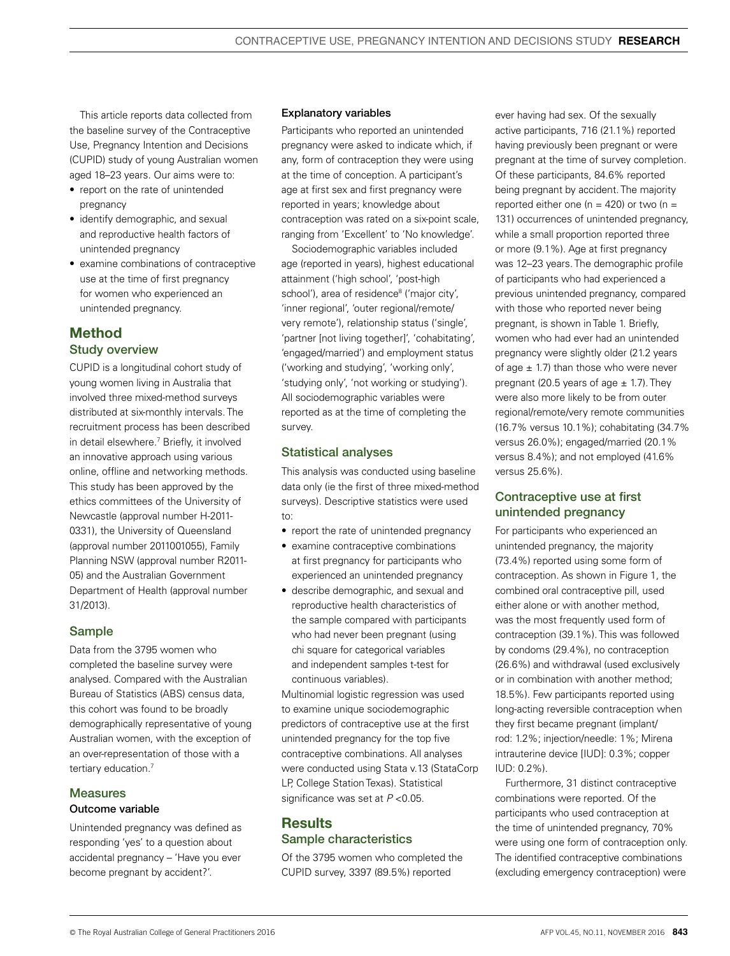This article reports data collected from the baseline survey of the Contraceptive Use, Pregnancy Intention and Decisions (CUPID) study of young Australian women aged 18–23 years. Our aims were to:

- report on the rate of unintended pregnancy
- identify demographic, and sexual and reproductive health factors of unintended pregnancy
- examine combinations of contraceptive use at the time of first pregnancy for women who experienced an unintended pregnancy.

# Method Study overview

CUPID is a longitudinal cohort study of young women living in Australia that involved three mixed-method surveys distributed at six-monthly intervals. The recruitment process has been described in detail elsewhere.7 Briefly, it involved an innovative approach using various online, offline and networking methods. This study has been approved by the ethics committees of the University of Newcastle (approval number H-2011- 0331), the University of Queensland (approval number 2011001055), Family Planning NSW (approval number R2011- 05) and the Australian Government Department of Health (approval number 31/2013).

# Sample

Data from the 3795 women who completed the baseline survey were analysed. Compared with the Australian Bureau of Statistics (ABS) census data, this cohort was found to be broadly demographically representative of young Australian women, with the exception of an over-representation of those with a tertiary education.<sup>7</sup>

#### **Measures** Outcome variable

Unintended pregnancy was defined as responding 'yes' to a question about accidental pregnancy – 'Have you ever become pregnant by accident?'.

#### Explanatory variables

Participants who reported an unintended pregnancy were asked to indicate which, if any, form of contraception they were using at the time of conception. A participant's age at first sex and first pregnancy were reported in years; knowledge about contraception was rated on a six-point scale, ranging from 'Excellent' to 'No knowledge'.

Sociodemographic variables included age (reported in years), highest educational attainment ('high school', 'post-high school'), area of residence<sup>8</sup> ('major city', 'inner regional', 'outer regional/remote/ very remote'), relationship status ('single', 'partner [not living together]', 'cohabitating', 'engaged/married') and employment status ('working and studying', 'working only', 'studying only', 'not working or studying'). All sociodemographic variables were reported as at the time of completing the survey.

# Statistical analyses

This analysis was conducted using baseline data only (ie the first of three mixed-method surveys). Descriptive statistics were used to:

- report the rate of unintended pregnancy
- examine contraceptive combinations at first pregnancy for participants who experienced an unintended pregnancy
- describe demographic, and sexual and reproductive health characteristics of the sample compared with participants who had never been pregnant (using chi square for categorical variables and independent samples t-test for continuous variables).

Multinomial logistic regression was used to examine unique sociodemographic predictors of contraceptive use at the first unintended pregnancy for the top five contraceptive combinations. All analyses were conducted using Stata v.13 (StataCorp LP, College Station Texas). Statistical significance was set at *P* <0.05.

# **Results** Sample characteristics

Of the 3795 women who completed the CUPID survey, 3397 (89.5%) reported

ever having had sex. Of the sexually active participants, 716 (21.1%) reported having previously been pregnant or were pregnant at the time of survey completion. Of these participants, 84.6% reported being pregnant by accident. The majority reported either one ( $n = 420$ ) or two ( $n =$ 131) occurrences of unintended pregnancy, while a small proportion reported three or more (9.1%). Age at first pregnancy was 12–23 years. The demographic profile of participants who had experienced a previous unintended pregnancy, compared with those who reported never being pregnant, is shown in Table 1. Briefly, women who had ever had an unintended pregnancy were slightly older (21.2 years of age  $\pm$  1.7) than those who were never pregnant (20.5 years of age  $\pm$  1.7). They were also more likely to be from outer regional/remote/very remote communities (16.7% versus 10.1%); cohabitating (34.7% versus 26.0%); engaged/married (20.1% versus 8.4%); and not employed (41.6% versus 25.6%).

# Contraceptive use at first unintended pregnancy

For participants who experienced an unintended pregnancy, the majority (73.4%) reported using some form of contraception. As shown in Figure 1, the combined oral contraceptive pill, used either alone or with another method, was the most frequently used form of contraception (39.1%). This was followed by condoms (29.4%), no contraception (26.6%) and withdrawal (used exclusively or in combination with another method; 18.5%). Few participants reported using long-acting reversible contraception when they first became pregnant (implant/ rod: 1.2%; injection/needle: 1%; Mirena intrauterine device [IUD]: 0.3%; copper IUD: 0.2%).

Furthermore, 31 distinct contraceptive combinations were reported. Of the participants who used contraception at the time of unintended pregnancy, 70% were using one form of contraception only. The identified contraceptive combinations (excluding emergency contraception) were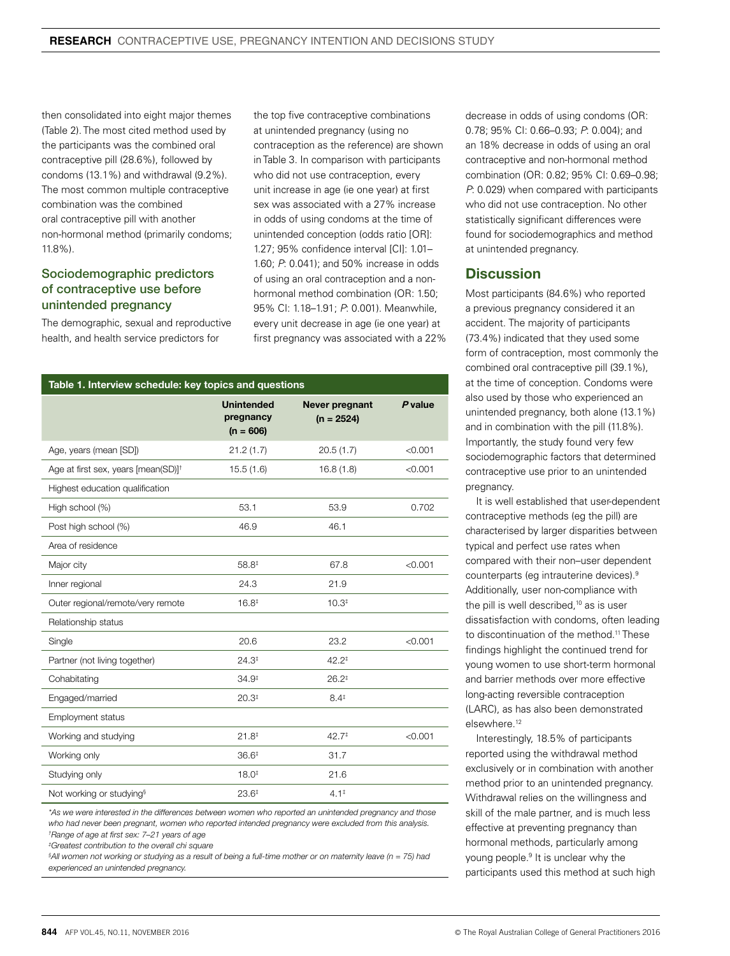then consolidated into eight major themes (Table 2). The most cited method used by the participants was the combined oral contraceptive pill (28.6%), followed by condoms (13.1%) and withdrawal (9.2%). The most common multiple contraceptive combination was the combined oral contraceptive pill with another non-hormonal method (primarily condoms; 11.8%).

# Sociodemographic predictors of contraceptive use before unintended pregnancy

The demographic, sexual and reproductive health, and health service predictors for

the top five contraceptive combinations at unintended pregnancy (using no contraception as the reference) are shown in Table 3. In comparison with participants who did not use contraception, every unit increase in age (ie one year) at first sex was associated with a 27% increase in odds of using condoms at the time of unintended conception (odds ratio [OR]: 1.27; 95% confidence interval [CI]: 1.01– 1.60; *P*: 0.041); and 50% increase in odds of using an oral contraception and a nonhormonal method combination (OR: 1.50; 95% CI: 1.18–1.91; *P*: 0.001). Meanwhile, every unit decrease in age (ie one year) at first pregnancy was associated with a 22%

| Table 1. Interview schedule: key topics and questions |                                               |                                |           |
|-------------------------------------------------------|-----------------------------------------------|--------------------------------|-----------|
|                                                       | <b>Unintended</b><br>pregnancy<br>$(n = 606)$ | Never pregnant<br>$(n = 2524)$ | $P$ value |
| Age, years (mean [SD])                                | 21.2(1.7)                                     | 20.5(1.7)                      | < 0.001   |
| Age at first sex, years [mean(SD)] <sup>†</sup>       | 15.5(1.6)                                     | 16.8(1.8)                      | < 0.001   |
| Highest education qualification                       |                                               |                                |           |
| High school (%)                                       | 53.1                                          | 53.9                           | 0.702     |
| Post high school (%)                                  | 46.9                                          | 46.1                           |           |
| Area of residence                                     |                                               |                                |           |
| Major city                                            | 58.8#                                         | 67.8                           | < 0.001   |
| Inner regional                                        | 24.3                                          | 21.9                           |           |
| Outer regional/remote/very remote                     | $16.8^{\ddagger}$                             | 10.3 <sup>‡</sup>              |           |
| Relationship status                                   |                                               |                                |           |
| Single                                                | 20.6                                          | 23.2                           | < 0.001   |
| Partner (not living together)                         | $24.3*$                                       | $42.2^{\ddagger}$              |           |
| Cohabitating                                          | $34.9^{\ddagger}$                             | $26.2*$                        |           |
| Engaged/married                                       | 20.3 <sup>‡</sup>                             | $8.4^{\ddagger}$               |           |
| Employment status                                     |                                               |                                |           |
| Working and studying                                  | $21.8^{\ddagger}$                             | $42.7^{\ddagger}$              | < 0.001   |
| Working only                                          | $36.6*$                                       | 31.7                           |           |
| Studying only                                         | $18.0*$                                       | 21.6                           |           |
| Not working or studying <sup>§</sup>                  | $23.6^{\ddagger}$                             | $4.1^{\ddagger}$               |           |

*\*As we were interested in the differences between women who reported an unintended pregnancy and those who had never been pregnant, women who reported intended pregnancy were excluded from this analysis. † Range of age at first sex: 7–21 years of age*

*‡ Greatest contribution to the overall chi square*

*§ All women not working or studying as a result of being a full-time mother or on maternity leave (n = 75) had experienced an unintended pregnancy.*

decrease in odds of using condoms (OR: 0.78; 95% CI: 0.66–0.93; *P*: 0.004); and an 18% decrease in odds of using an oral contraceptive and non-hormonal method combination (OR: 0.82; 95% CI: 0.69–0.98; *P*: 0.029) when compared with participants who did not use contraception. No other statistically significant differences were found for sociodemographics and method at unintended pregnancy.

# **Discussion**

Most participants (84.6%) who reported a previous pregnancy considered it an accident. The majority of participants (73.4%) indicated that they used some form of contraception, most commonly the combined oral contraceptive pill (39.1%), at the time of conception. Condoms were also used by those who experienced an unintended pregnancy, both alone (13.1%) and in combination with the pill (11.8%). Importantly, the study found very few sociodemographic factors that determined contraceptive use prior to an unintended pregnancy.

It is well established that user-dependent contraceptive methods (eg the pill) are characterised by larger disparities between typical and perfect use rates when compared with their non–user dependent counterparts (eg intrauterine devices).9 Additionally, user non-compliance with the pill is well described, $10$  as is user dissatisfaction with condoms, often leading to discontinuation of the method.<sup>11</sup> These findings highlight the continued trend for young women to use short-term hormonal and barrier methods over more effective long-acting reversible contraception (LARC), as has also been demonstrated elsewhere.12

Interestingly, 18.5% of participants reported using the withdrawal method exclusively or in combination with another method prior to an unintended pregnancy. Withdrawal relies on the willingness and skill of the male partner, and is much less effective at preventing pregnancy than hormonal methods, particularly among young people.<sup>9</sup> It is unclear why the participants used this method at such high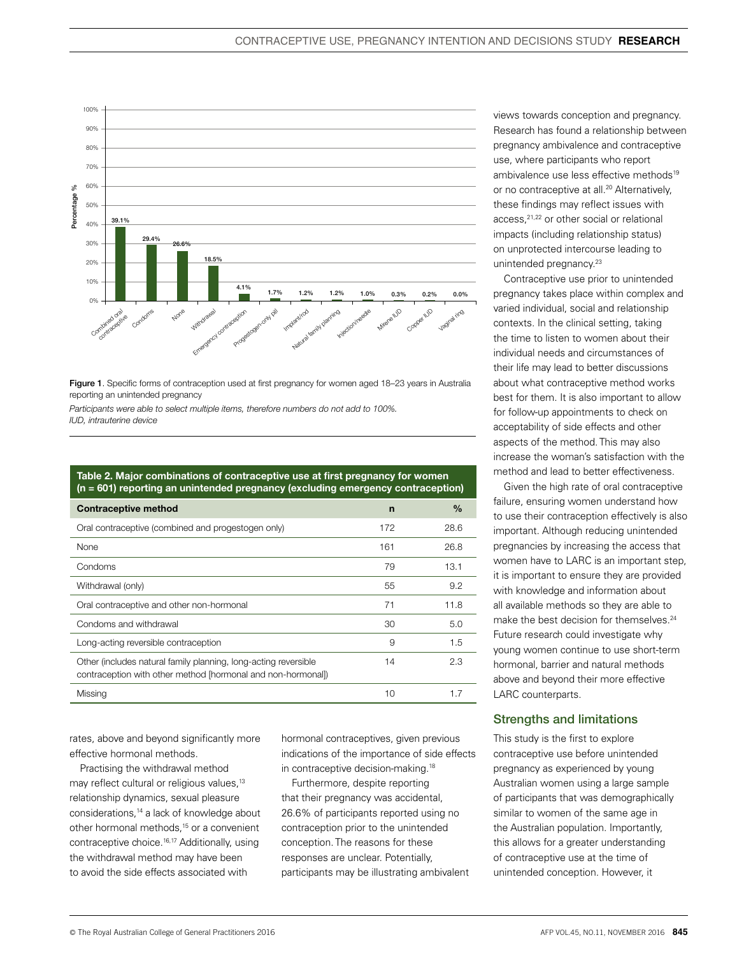

Figure 1. Specific forms of contraception used at first pregnancy for women aged 18-23 years in Australia reporting an unintended pregnancy

*Participants were able to select multiple items, therefore numbers do not add to 100%. IUD, intrauterine device*

Table 2. Major combinations of contraceptive use at first pregnancy for women (n = 601) reporting an unintended pregnancy (excluding emergency contraception)

| <b>Contraceptive method</b>                                                                                                     | $\mathsf{n}$ | $\frac{0}{0}$ |
|---------------------------------------------------------------------------------------------------------------------------------|--------------|---------------|
| Oral contraceptive (combined and progestogen only)                                                                              | 172          | 28.6          |
| <b>None</b>                                                                                                                     | 161          | 26.8          |
| Condoms                                                                                                                         | 79           | 13.1          |
| Withdrawal (only)                                                                                                               | 55           | 9.2           |
| Oral contraceptive and other non-hormonal                                                                                       | 71           | 11.8          |
| Condoms and withdrawal                                                                                                          | 30           | 5.0           |
| Long-acting reversible contraception                                                                                            | 9            | 1.5           |
| Other (includes natural family planning, long-acting reversible<br>contraception with other method [hormonal and non-hormonal]) | 14           | 2.3           |
| Missing                                                                                                                         | 10           | 1.7           |

rates, above and beyond significantly more effective hormonal methods.

Practising the withdrawal method may reflect cultural or religious values,<sup>13</sup> relationship dynamics, sexual pleasure considerations,14 a lack of knowledge about other hormonal methods,<sup>15</sup> or a convenient contraceptive choice.16,17 Additionally, using the withdrawal method may have been to avoid the side effects associated with

hormonal contraceptives, given previous indications of the importance of side effects in contraceptive decision-making.18

Furthermore, despite reporting that their pregnancy was accidental, 26.6% of participants reported using no contraception prior to the unintended conception. The reasons for these responses are unclear. Potentially, participants may be illustrating ambivalent views towards conception and pregnancy. Research has found a relationship between pregnancy ambivalence and contraceptive use, where participants who report ambivalence use less effective methods<sup>19</sup> or no contraceptive at all.<sup>20</sup> Alternatively. these findings may reflect issues with access,<sup>21,22</sup> or other social or relational impacts (including relationship status) on unprotected intercourse leading to unintended pregnancy.<sup>23</sup>

Contraceptive use prior to unintended pregnancy takes place within complex and varied individual, social and relationship contexts. In the clinical setting, taking the time to listen to women about their individual needs and circumstances of their life may lead to better discussions about what contraceptive method works best for them. It is also important to allow for follow-up appointments to check on acceptability of side effects and other aspects of the method. This may also increase the woman's satisfaction with the method and lead to better effectiveness.

Given the high rate of oral contraceptive failure, ensuring women understand how to use their contraception effectively is also important. Although reducing unintended pregnancies by increasing the access that women have to LARC is an important step, it is important to ensure they are provided with knowledge and information about all available methods so they are able to make the best decision for themselves.<sup>24</sup> Future research could investigate why young women continue to use short-term hormonal, barrier and natural methods above and beyond their more effective LARC counterparts.

## Strengths and limitations

This study is the first to explore contraceptive use before unintended pregnancy as experienced by young Australian women using a large sample of participants that was demographically similar to women of the same age in the Australian population. Importantly, this allows for a greater understanding of contraceptive use at the time of unintended conception. However, it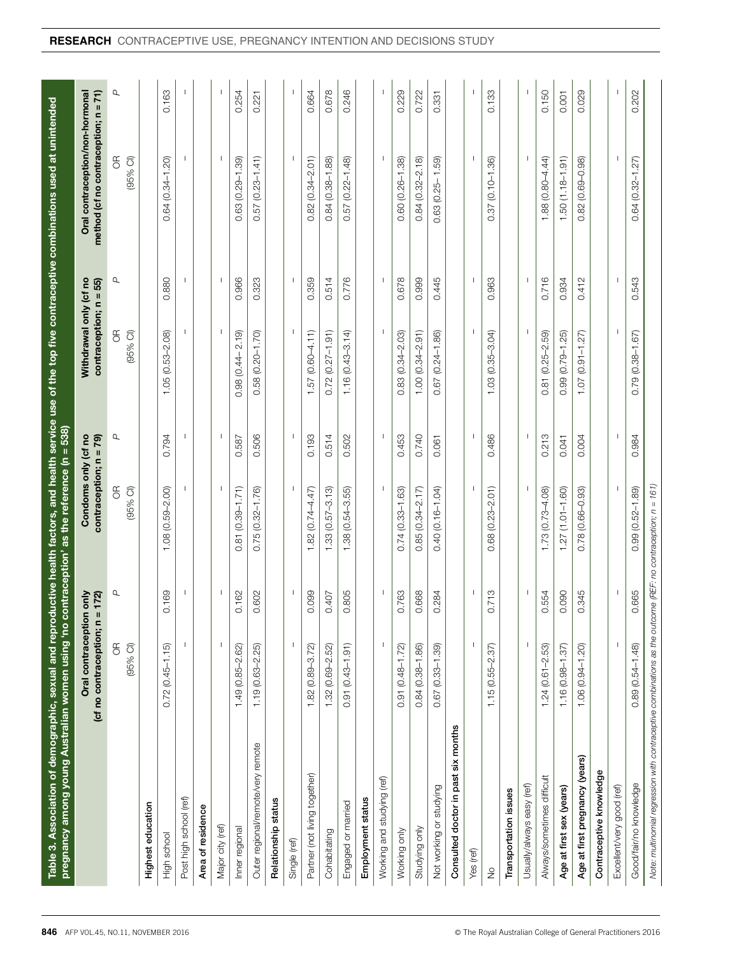| Table 3. Association of demographic, sexual and reproductive health factors, and health service use of the top five contraceptive combinations used at unintended<br>on, buisn uewow uejje.<br>Also buisne uewow the proper form of the formation of the |                                             |                      | contraception' as the reference ( $n = 538$ )  |                          |                                                  |              |                                                                         |                |
|----------------------------------------------------------------------------------------------------------------------------------------------------------------------------------------------------------------------------------------------------------|---------------------------------------------|----------------------|------------------------------------------------|--------------------------|--------------------------------------------------|--------------|-------------------------------------------------------------------------|----------------|
|                                                                                                                                                                                                                                                          | (cf no contraception; n<br>Oral contracepti | ion only<br>n = 172) | Condoms only (cf no<br>contraception; $n = 79$ |                          | Withdrawal only (cf no<br>contraception; n = 55) |              | method (cf no contraception; n = 71)<br>Oral contraception/non-hormonal |                |
|                                                                                                                                                                                                                                                          | $\frac{1}{2}$<br>$(95%$ CI)                 | Q                    | $(95%$ Cl)<br>$\mathfrak{F}$                   | р                        | $\frac{\alpha}{\beta}$<br>$(95%$ CI)             | р            | $\mathfrak{F}$<br>$(95%$ Cl)                                            | р              |
| Highest education                                                                                                                                                                                                                                        |                                             |                      |                                                |                          |                                                  |              |                                                                         |                |
| High school                                                                                                                                                                                                                                              | $(0.45 - 1.15)$<br>0.72                     | 0.169                | $(0.59 - 2.00)$<br>1.08                        | 0.794                    | 1.05 (0.53-2.08)                                 | 0.880        | $(0.34 - 1.20)$<br>0.64                                                 | 0.163          |
| Post high school (ref)                                                                                                                                                                                                                                   |                                             | $\mathbf{I}$         |                                                | $\mathbf{I}$             | $\mathbf{I}$                                     | -1           | -1                                                                      | $\blacksquare$ |
| Area of residence                                                                                                                                                                                                                                        |                                             |                      |                                                |                          |                                                  |              |                                                                         |                |
| Major city (ref)                                                                                                                                                                                                                                         | $\mathbf{I}$                                | $\mathbf{I}$         |                                                | $\mathbf{I}$             |                                                  | $\mathbf{I}$ |                                                                         | $\mathbf{I}$   |
| Inner regional                                                                                                                                                                                                                                           | 1.49 (0.85-2.62)                            | 0.162                | $(0.39 - 1.71)$<br>0.81                        | 0.587                    | $0.98(0.44 - 2.19)$                              | 0.966        | $0.63(0.29 - 1.39)$                                                     | 0.254          |
| Outer regional/remote/very remote                                                                                                                                                                                                                        | $1.19(0.63 - 2.25)$                         | 0.602                | $0.75(0.32 - 1.76)$                            | 0.506                    | $0.58(0.20 - 1.70)$                              | 0.323        | $0.57(0.23 - 1.41)$                                                     | 0.221          |
| Relationship status                                                                                                                                                                                                                                      |                                             |                      |                                                |                          |                                                  |              |                                                                         |                |
| Single (ref)                                                                                                                                                                                                                                             | $\mathbf{I}$                                | $\mathbf{I}$         |                                                |                          | $\mathbf{I}$                                     | $\mathbf{I}$ | $\mathbf{L}$                                                            |                |
| Partner (not living together)                                                                                                                                                                                                                            | $1.82(0.89 - 3.72)$                         | 0.099                | $1.82(0.74 - 4.47)$                            | 0.193                    | $1.57(0.60 - 4.11)$                              | 0.359        | $0.82(0.34 - 2.01)$                                                     | 0.664          |
| Cohabitating                                                                                                                                                                                                                                             | $1.32(0.69 - 2.52)$                         | 0.407                | $.33(0.57 - 3.13)$                             | 0.514                    | $0.72(0.27 - 1.91)$                              | 0.514        | $0.84(0.38 - 1.88)$                                                     | 0.678          |
| Engaged or married                                                                                                                                                                                                                                       | $0.91(0.43 - 1.91)$                         | 0.805                | $1.38(0.54 - 3.55)$                            | 0.502                    | $1.16(0.43 - 3.14)$                              | 0.776        | $(0.22 - 1.48)$<br>0.57                                                 | 0.246          |
| Employment status                                                                                                                                                                                                                                        |                                             |                      |                                                |                          |                                                  |              |                                                                         |                |
| Working and studying (ref)                                                                                                                                                                                                                               | $\mathbf{I}$                                | J.                   | -1                                             | $\mathbf{I}$             | -1                                               | $\mathbf{I}$ | $\mathbf{I}$                                                            | $\mathbf{I}$   |
| Working only                                                                                                                                                                                                                                             | $0.91(0.48 - 1.72)$                         | 0.763                | $0.74(0.33 - 1.63)$                            | 0.453                    | $0.83(0.34 - 2.03)$                              | 0.678        | $0.60(0.26 - 1.38)$                                                     | 0.229          |
| Studying only                                                                                                                                                                                                                                            | $0.84(0.38 - 1.86)$                         | 0.668                | $0.85(0.34 - 2.17)$                            | 0.740                    | $1.00(0.34 - 2.91)$                              | 0.999        | $0.84(0.32 - 2.18)$                                                     | 0.722          |
| Not working or studying                                                                                                                                                                                                                                  | $0.67(0.33 - 1.39)$                         | 0.284                | $0.40(0.16 - 1.04)$                            | 0.061                    | $0.67$ $(0.24 - 1.86)$                           | 0.445        | $0.63(0.25 - 1.59)$                                                     | 0.331          |
| Consulted doctor in past six months                                                                                                                                                                                                                      |                                             |                      |                                                |                          |                                                  |              |                                                                         |                |
| Yes (ref)                                                                                                                                                                                                                                                | $\mathbf{I}$                                | $\mathbf{I}$         |                                                | $\mathbf{I}$             | Ι.                                               | $\mathbf{I}$ | $\mathbf{I}$                                                            | $\mathbf{I}$   |
| $\frac{1}{2}$                                                                                                                                                                                                                                            | $1.15(0.55 - 2.37)$                         | 0.713                | $0.68(0.23 - 2.01)$                            | 0.486                    | $1.03(0.35 - 3.04)$                              | 0.963        | $0.37(0.10 - 1.36)$                                                     | 0.133          |
| Transportation issues                                                                                                                                                                                                                                    |                                             |                      |                                                |                          |                                                  |              |                                                                         |                |
| Usually/always easy (ref)                                                                                                                                                                                                                                |                                             |                      |                                                |                          |                                                  |              |                                                                         |                |
| Always/sometimes difficult                                                                                                                                                                                                                               | $1.24(0.61 - 2.53)$                         | 0.554                | $1.73(0.73 - 4.08)$                            | 0.213                    | 0.81 (0.25-2.59)                                 | 0.716        | $1.88(0.80 - 4.44)$                                                     | 0.150          |
| Age at first sex (years)                                                                                                                                                                                                                                 | $1.16(0.98 - 1.37)$                         | 0.090                | $1.27(1.01 - 1.60)$                            | 0.041                    | $0.99(0.79 - 1.25)$                              | 0.934        | $1.50(1.18 - 1.91)$                                                     | 0.001          |
| Age at first pregnancy (years)                                                                                                                                                                                                                           | $1.06(0.94 - 1.20)$                         | 0.345                | $0.78(0.66 - 0.93)$                            | 0.004                    | $1.07(0.91 - 1.27)$                              | 0.412        | $0.82(0.69 - 0.98)$                                                     | 0.029          |
| Contraceptive knowledge                                                                                                                                                                                                                                  |                                             |                      |                                                |                          |                                                  |              |                                                                         |                |
| Excellent/very good (ref)                                                                                                                                                                                                                                | $\overline{\phantom{a}}$                    | $\mathbf{I}$         |                                                | $\overline{\phantom{a}}$ | $\overline{\phantom{a}}$                         | J.           |                                                                         |                |
| Good/fair/no knowledge                                                                                                                                                                                                                                   | $0.89(0.54 - 1.48)$                         | 0.665                | $0.99(0.52 - 1.89)$                            | 0.984                    | $0.79(0.38 - 1.67)$                              | 0.543        | $0.64(0.32 - 1.27)$                                                     | 0.202          |
| Note: multinomial regression with contraceptive combinations as the outcome (REF: no contraception; $n = 161$ )                                                                                                                                          |                                             |                      |                                                |                          |                                                  |              |                                                                         |                |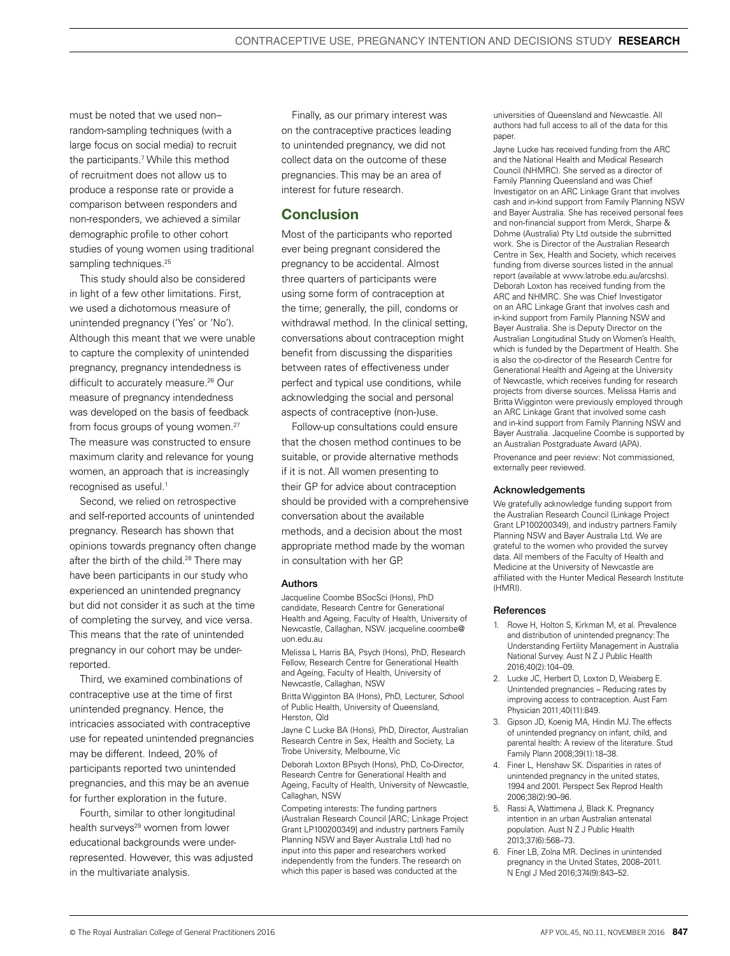must be noted that we used non– random-sampling techniques (with a large focus on social media) to recruit the participants.7 While this method of recruitment does not allow us to produce a response rate or provide a comparison between responders and non-responders, we achieved a similar demographic profile to other cohort studies of young women using traditional sampling techniques.<sup>25</sup>

This study should also be considered in light of a few other limitations. First, we used a dichotomous measure of unintended pregnancy ('Yes' or 'No'). Although this meant that we were unable to capture the complexity of unintended pregnancy, pregnancy intendedness is difficult to accurately measure.<sup>26</sup> Our measure of pregnancy intendedness was developed on the basis of feedback from focus groups of young women.<sup>27</sup> The measure was constructed to ensure maximum clarity and relevance for young women, an approach that is increasingly recognised as useful.<sup>1</sup>

Second, we relied on retrospective and self-reported accounts of unintended pregnancy. Research has shown that opinions towards pregnancy often change after the birth of the child.<sup>28</sup> There may have been participants in our study who experienced an unintended pregnancy but did not consider it as such at the time of completing the survey, and vice versa. This means that the rate of unintended pregnancy in our cohort may be underreported.

Third, we examined combinations of contraceptive use at the time of first unintended pregnancy. Hence, the intricacies associated with contraceptive use for repeated unintended pregnancies may be different. Indeed, 20% of participants reported two unintended pregnancies, and this may be an avenue for further exploration in the future.

Fourth, similar to other longitudinal health surveys<sup>29</sup> women from lower educational backgrounds were underrepresented. However, this was adjusted in the multivariate analysis.

Finally, as our primary interest was on the contraceptive practices leading to unintended pregnancy, we did not collect data on the outcome of these pregnancies. This may be an area of interest for future research.

# Conclusion

Most of the participants who reported ever being pregnant considered the pregnancy to be accidental. Almost three quarters of participants were using some form of contraception at the time; generally, the pill, condoms or withdrawal method. In the clinical setting, conversations about contraception might benefit from discussing the disparities between rates of effectiveness under perfect and typical use conditions, while acknowledging the social and personal aspects of contraceptive (non-)use.

Follow-up consultations could ensure that the chosen method continues to be suitable, or provide alternative methods if it is not. All women presenting to their GP for advice about contraception should be provided with a comprehensive conversation about the available methods, and a decision about the most appropriate method made by the woman in consultation with her GP.

#### Authors

Jacqueline Coombe BSocSci (Hons), PhD candidate, Research Centre for Generational Health and Ageing, Faculty of Health, University of Newcastle, Callaghan, NSW. jacqueline.coombe@ uon.edu.au

Melissa L Harris BA, Psych (Hons), PhD, Research Fellow, Research Centre for Generational Health and Ageing, Faculty of Health, University of Newcastle, Callaghan, NSW

Britta Wigginton BA (Hons), PhD, Lecturer, School of Public Health, University of Queensland, Herston, Qld

Jayne C Lucke BA (Hons), PhD, Director, Australian Research Centre in Sex, Health and Society, La Trobe University, Melbourne, Vic

Deborah Loxton BPsych (Hons), PhD, Co-Director, Research Centre for Generational Health and Ageing, Faculty of Health, University of Newcastle, Callaghan, NSW

Competing interests: The funding partners (Australian Research Council [ARC; Linkage Project Grant LP100200349] and industry partners Family Planning NSW and Bayer Australia Ltd) had no input into this paper and researchers worked independently from the funders. The research on which this paper is based was conducted at the

universities of Queensland and Newcastle. All authors had full access to all of the data for this paper.

Jayne Lucke has received funding from the ARC and the National Health and Medical Research Council (NHMRC). She served as a director of Family Planning Queensland and was Chief Investigator on an ARC Linkage Grant that involves cash and in-kind support from Family Planning NSW and Bayer Australia. She has received personal fees and non-financial support from Merck, Sharpe & Dohme (Australia) Pty Ltd outside the submitted work. She is Director of the Australian Research Centre in Sex, Health and Society, which receives funding from diverse sources listed in the annual report (available at www.latrobe.edu.au/arcshs). Deborah Loxton has received funding from the ARC and NHMRC. She was Chief Investigator on an ARC Linkage Grant that involves cash and in-kind support from Family Planning NSW and Bayer Australia. She is Deputy Director on the Australian Longitudinal Study on Women's Health, which is funded by the Department of Health. She is also the co-director of the Research Centre for Generational Health and Ageing at the University of Newcastle, which receives funding for research projects from diverse sources. Melissa Harris and Britta Wigginton were previously employed through an ARC Linkage Grant that involved some cash and in-kind support from Family Planning NSW and Bayer Australia. Jacqueline Coombe is supported by an Australian Postgraduate Award (APA).

Provenance and peer review: Not commissioned, externally peer reviewed.

#### Acknowledgements

We gratefully acknowledge funding support from the Australian Research Council (Linkage Project Grant LP100200349), and industry partners Family Planning NSW and Bayer Australia Ltd. We are grateful to the women who provided the survey data. All members of the Faculty of Health and Medicine at the University of Newcastle are affiliated with the Hunter Medical Research Institute (HMRI).

#### **References**

- 1. Rowe H, Holton S, Kirkman M, et al. Prevalence and distribution of unintended pregnancy: The Understanding Fertility Management in Australia National Survey. Aust N Z J Public Health 2016;40(2):104–09.
- 2. Lucke JC, Herbert D, Loxton D, Weisberg E. Unintended pregnancies – Reducing rates by improving access to contraception. Aust Fam Physician 2011;40(11):849.
- 3. Gipson JD, Koenig MA, Hindin MJ. The effects of unintended pregnancy on infant, child, and parental health: A review of the literature. Stud Family Plann 2008;39(1):18–38.
- 4. Finer L, Henshaw SK. Disparities in rates of unintended pregnancy in the united states, 1994 and 2001. Perspect Sex Reprod Health 2006;38(2):90–96.
- 5. Rassi A, Wattimena J, Black K. Pregnancy intention in an urban Australian antenatal population. Aust N Z J Public Health 2013;37(6):568–73.
- 6. Finer LB, Zolna MR. Declines in unintended pregnancy in the United States, 2008–2011. N Engl J Med 2016;374(9):843–52.